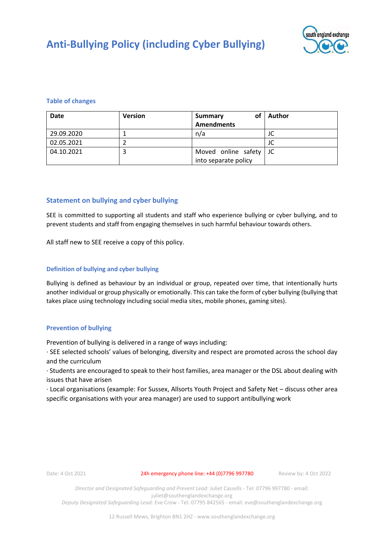

## **Table of changes**

| <b>Date</b> | <b>Version</b> | Summary<br>οt          | Author |
|-------------|----------------|------------------------|--------|
|             |                | <b>Amendments</b>      |        |
| 29.09.2020  |                | n/a                    | JC     |
| 02.05.2021  |                |                        | JU     |
| 04.10.2021  |                | Moved online safety JC |        |
|             |                | into separate policy   |        |

## **Statement on bullying and cyber bullying**

SEE is committed to supporting all students and staff who experience bullying or cyber bullying, and to prevent students and staff from engaging themselves in such harmful behaviour towards others.

All staff new to SEE receive a copy of this policy.

## **Definition of bullying and cyber bullying**

Bullying is defined as behaviour by an individual or group, repeated over time, that intentionally hurts another individual or group physically or emotionally. This can take the form of cyber bullying (bullying that takes place using technology including social media sites, mobile phones, gaming sites).

### **Prevention of bullying**

Prevention of bullying is delivered in a range of ways including:

∙ SEE selected schools' values of belonging, diversity and respect are promoted across the school day and the curriculum

∙ Students are encouraged to speak to their host families, area manager or the DSL about dealing with issues that have arisen

∙ Local organisations (example: For Sussex, Allsorts Youth Project and Safety Net – discuss other area specific organisations with your area manager) are used to support antibullying work

Date: 4 Oct 2021 24h emergency phone line: +44 (0)7796 997780 Review by: 4 Oct 2022

*Director and Designated Safeguarding and Prevent Lead:* Juliet Cassells - Tel: 07796 997780 - email: juliet@southenglandexchange.org

*Deputy Designated Safeguarding Lead:* Eve Crow - Tel: 07795 842565 - email: eve@southenglandexchange.org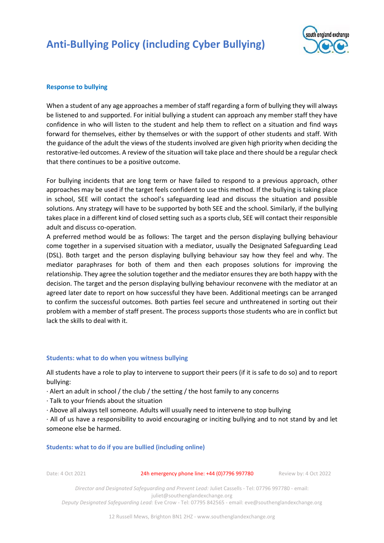

## **Response to bullying**

When a student of any age approaches a member of staff regarding a form of bullying they will always be listened to and supported. For initial bullying a student can approach any member staff they have confidence in who will listen to the student and help them to reflect on a situation and find ways forward for themselves, either by themselves or with the support of other students and staff. With the guidance of the adult the views of the students involved are given high priority when deciding the restorative-led outcomes. A review of the situation will take place and there should be a regular check that there continues to be a positive outcome.

For bullying incidents that are long term or have failed to respond to a previous approach, other approaches may be used if the target feels confident to use this method. If the bullying is taking place in school, SEE will contact the school's safeguarding lead and discuss the situation and possible solutions. Any strategy will have to be supported by both SEE and the school. Similarly, if the bullying takes place in a different kind of closed setting such as a sports club, SEE will contact their responsible adult and discuss co-operation.

A preferred method would be as follows: The target and the person displaying bullying behaviour come together in a supervised situation with a mediator, usually the Designated Safeguarding Lead (DSL). Both target and the person displaying bullying behaviour say how they feel and why. The mediator paraphrases for both of them and then each proposes solutions for improving the relationship. They agree the solution together and the mediator ensures they are both happy with the decision. The target and the person displaying bullying behaviour reconvene with the mediator at an agreed later date to report on how successful they have been. Additional meetings can be arranged to confirm the successful outcomes. Both parties feel secure and unthreatened in sorting out their problem with a member of staff present. The process supports those students who are in conflict but lack the skills to deal with it.

### **Students: what to do when you witness bullying**

All students have a role to play to intervene to support their peers (if it is safe to do so) and to report bullying:

- ∙ Alert an adult in school / the club / the setting / the host family to any concerns
- ∙ Talk to your friends about the situation
- ∙ Above all always tell someone. Adults will usually need to intervene to stop bullying

∙ All of us have a responsibility to avoid encouraging or inciting bullying and to not stand by and let someone else be harmed.

#### **Students: what to do if you are bullied (including online)**

Date: 4 Oct 2021 24h emergency phone line: +44 (0)7796 997780 Review by: 4 Oct 2022

*Director and Designated Safeguarding and Prevent Lead:* Juliet Cassells - Tel: 07796 997780 - email: juliet@southenglandexchange.org

*Deputy Designated Safeguarding Lead:* Eve Crow - Tel: 07795 842565 - email: eve@southenglandexchange.org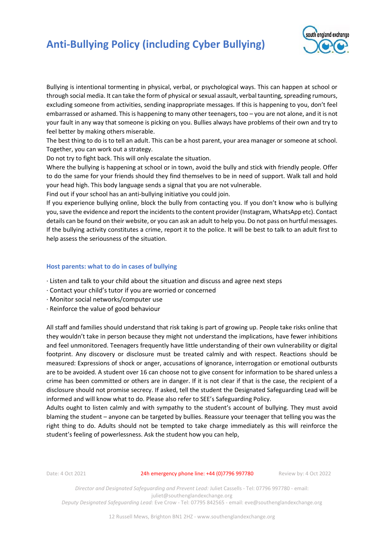

Bullying is intentional tormenting in physical, verbal, or psychological ways. This can happen at school or through social media. It can take the form of physical or sexual assault, verbal taunting, spreading rumours, excluding someone from activities, sending inappropriate messages. If this is happening to you, don't feel embarrassed or ashamed. This is happening to many other teenagers, too – you are not alone, and it is not your fault in any way that someone is picking on you. Bullies always have problems of their own and try to feel better by making others miserable.

The best thing to do is to tell an adult. This can be a host parent, your area manager or someone at school. Together, you can work out a strategy.

Do not try to fight back. This will only escalate the situation.

Where the bullying is happening at school or in town, avoid the bully and stick with friendly people. Offer to do the same for your friends should they find themselves to be in need of support. Walk tall and hold your head high. This body language sends a signal that you are not vulnerable.

Find out if your school has an anti-bullying initiative you could join.

If you experience bullying online, block the bully from contacting you. If you don't know who is bullying you, save the evidence and report the incidents to the content provider (Instagram, WhatsApp etc). Contact details can be found on their website, or you can ask an adult to help you. Do not pass on hurtful messages. If the bullying activity constitutes a crime, report it to the police. It will be best to talk to an adult first to help assess the seriousness of the situation.

## **Host parents: what to do in cases of bullying**

- ∙ Listen and talk to your child about the situation and discuss and agree next steps
- ∙ Contact your child's tutor if you are worried or concerned
- ∙ Monitor social networks/computer use
- ∙ Reinforce the value of good behaviour

All staff and families should understand that risk taking is part of growing up. People take risks online that they wouldn't take in person because they might not understand the implications, have fewer inhibitions and feel unmonitored. Teenagers frequently have little understanding of their own vulnerability or digital footprint. Any discovery or disclosure must be treated calmly and with respect. Reactions should be measured: Expressions of shock or anger, accusations of ignorance, interrogation or emotional outbursts are to be avoided. A student over 16 can choose not to give consent for information to be shared unless a crime has been committed or others are in danger. If it is not clear if that is the case, the recipient of a disclosure should not promise secrecy. If asked, tell the student the Designated Safeguarding Lead will be informed and will know what to do. Please also refer to SEE's Safeguarding Policy.

Adults ought to listen calmly and with sympathy to the student's account of bullying. They must avoid blaming the student – anyone can be targeted by bullies. Reassure your teenager that telling you was the right thing to do. Adults should not be tempted to take charge immediately as this will reinforce the student's feeling of powerlessness. Ask the student how you can help,

Date: 4 Oct 2021 24h emergency phone line: +44 (0)7796 997780 Review by: 4 Oct 2022

*Director and Designated Safeguarding and Prevent Lead:* Juliet Cassells - Tel: 07796 997780 - email: juliet@southenglandexchange.org *Deputy Designated Safeguarding Lead:* Eve Crow - Tel: 07795 842565 - email: eve@southenglandexchange.org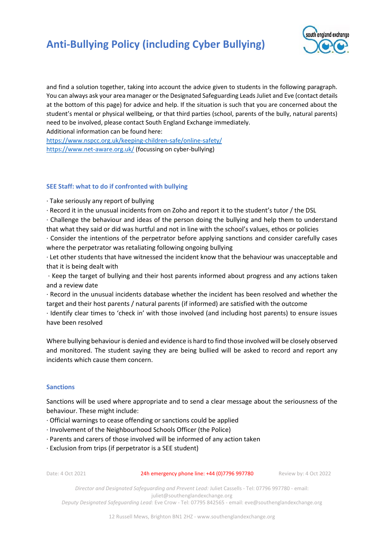

and find a solution together, taking into account the advice given to students in the following paragraph. You can always ask your area manager or the Designated Safeguarding Leads Juliet and Eve (contact details at the bottom of this page) for advice and help. If the situation is such that you are concerned about the student's mental or physical wellbeing, or that third parties (school, parents of the bully, natural parents) need to be involved, please contact South England Exchange immediately.

Additional information can be found here:

<https://www.nspcc.org.uk/keeping-children-safe/online-safety/> <https://www.net-aware.org.uk/> (focussing on cyber-bullying)

## **SEE Staff: what to do if confronted with bullying**

∙ Take seriously any report of bullying

∙ Record it in the unusual incidents from on Zoho and report it to the student's tutor / the DSL

∙ Challenge the behaviour and ideas of the person doing the bullying and help them to understand that what they said or did was hurtful and not in line with the school's values, ethos or policies

∙ Consider the intentions of the perpetrator before applying sanctions and consider carefully cases where the perpetrator was retaliating following ongoing bullying

∙ Let other students that have witnessed the incident know that the behaviour was unacceptable and that it is being dealt with

∙ Keep the target of bullying and their host parents informed about progress and any actions taken and a review date

∙ Record in the unusual incidents database whether the incident has been resolved and whether the target and their host parents / natural parents (if informed) are satisfied with the outcome

∙ Identify clear times to 'check in' with those involved (and including host parents) to ensure issues have been resolved

Where bullying behaviour is denied and evidence is hard to find those involved will be closely observed and monitored. The student saying they are being bullied will be asked to record and report any incidents which cause them concern.

### **Sanctions**

Sanctions will be used where appropriate and to send a clear message about the seriousness of the behaviour. These might include:

- ∙ Official warnings to cease offending or sanctions could be applied
- ∙ Involvement of the Neighbourhood Schools Officer (the Police)
- ∙ Parents and carers of those involved will be informed of any action taken
- ∙ Exclusion from trips (if perpetrator is a SEE student)

Date: 4 Oct 2021 24h emergency phone line: +44 (0)7796 997780 Review by: 4 Oct 2022

*Director and Designated Safeguarding and Prevent Lead:* Juliet Cassells - Tel: 07796 997780 - email: juliet@southenglandexchange.org *Deputy Designated Safeguarding Lead:* Eve Crow - Tel: 07795 842565 - email: eve@southenglandexchange.org